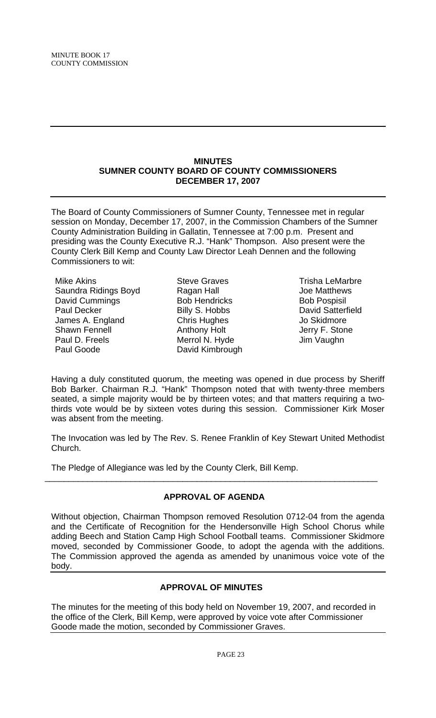#### **MINUTES SUMNER COUNTY BOARD OF COUNTY COMMISSIONERS DECEMBER 17, 2007**

The Board of County Commissioners of Sumner County, Tennessee met in regular session on Monday, December 17, 2007, in the Commission Chambers of the Sumner County Administration Building in Gallatin, Tennessee at 7:00 p.m. Present and presiding was the County Executive R.J. "Hank" Thompson. Also present were the County Clerk Bill Kemp and County Law Director Leah Dennen and the following Commissioners to wit:

Mike Akins Saundra Ridings Boyd David Cummings Paul Decker James A. England Shawn Fennell Paul D. Freels Paul Goode

Steve Graves Ragan Hall Bob Hendricks Billy S. Hobbs Chris Hughes Anthony Holt Merrol N. Hyde David Kimbrough

Trisha LeMarbre Joe Matthews Bob Pospisil David Satterfield Jo Skidmore Jerry F. Stone Jim Vaughn

Having a duly constituted quorum, the meeting was opened in due process by Sheriff Bob Barker. Chairman R.J. "Hank" Thompson noted that with twenty-three members seated, a simple majority would be by thirteen votes; and that matters requiring a twothirds vote would be by sixteen votes during this session. Commissioner Kirk Moser was absent from the meeting.

The Invocation was led by The Rev. S. Renee Franklin of Key Stewart United Methodist Church.

The Pledge of Allegiance was led by the County Clerk, Bill Kemp.

# **APPROVAL OF AGENDA**

\_\_\_\_\_\_\_\_\_\_\_\_\_\_\_\_\_\_\_\_\_\_\_\_\_\_\_\_\_\_\_\_\_\_\_\_\_\_\_\_\_\_\_\_\_\_\_\_\_\_\_\_\_\_\_\_\_\_\_\_\_\_\_\_\_\_\_\_\_\_

Without objection, Chairman Thompson removed Resolution 0712-04 from the agenda and the Certificate of Recognition for the Hendersonville High School Chorus while adding Beech and Station Camp High School Football teams. Commissioner Skidmore moved, seconded by Commissioner Goode, to adopt the agenda with the additions. The Commission approved the agenda as amended by unanimous voice vote of the body.

# **APPROVAL OF MINUTES**

The minutes for the meeting of this body held on November 19, 2007, and recorded in the office of the Clerk, Bill Kemp, were approved by voice vote after Commissioner Goode made the motion, seconded by Commissioner Graves.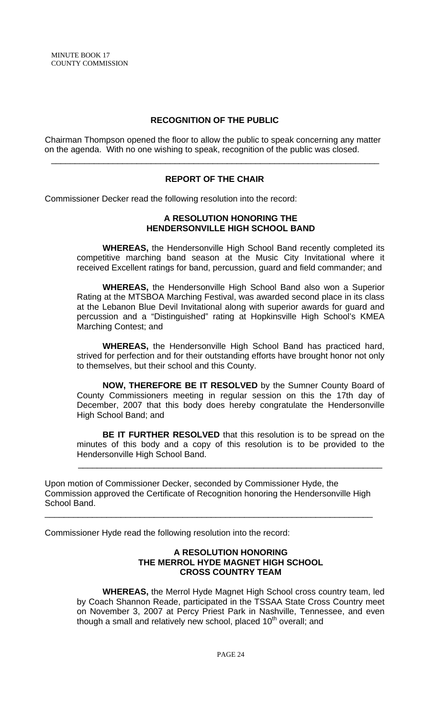## **RECOGNITION OF THE PUBLIC**

Chairman Thompson opened the floor to allow the public to speak concerning any matter on the agenda. With no one wishing to speak, recognition of the public was closed.

# **REPORT OF THE CHAIR**

\_\_\_\_\_\_\_\_\_\_\_\_\_\_\_\_\_\_\_\_\_\_\_\_\_\_\_\_\_\_\_\_\_\_\_\_\_\_\_\_\_\_\_\_\_\_\_\_\_\_\_\_\_\_\_\_\_\_\_\_\_\_\_\_\_\_\_\_\_

Commissioner Decker read the following resolution into the record:

## **A RESOLUTION HONORING THE HENDERSONVILLE HIGH SCHOOL BAND**

 **WHEREAS,** the Hendersonville High School Band recently completed its competitive marching band season at the Music City Invitational where it received Excellent ratings for band, percussion, guard and field commander; and

**WHEREAS,** the Hendersonville High School Band also won a Superior Rating at the MTSBOA Marching Festival, was awarded second place in its class at the Lebanon Blue Devil Invitational along with superior awards for guard and percussion and a "Distinguished" rating at Hopkinsville High School's KMEA Marching Contest; and

 **WHEREAS,** the Hendersonville High School Band has practiced hard, strived for perfection and for their outstanding efforts have brought honor not only to themselves, but their school and this County.

**NOW, THEREFORE BE IT RESOLVED** by the Sumner County Board of County Commissioners meeting in regular session on this the 17th day of December, 2007 that this body does hereby congratulate the Hendersonville High School Band; and

**BE IT FURTHER RESOLVED** that this resolution is to be spread on the minutes of this body and a copy of this resolution is to be provided to the Hendersonville High School Band.

Upon motion of Commissioner Decker, seconded by Commissioner Hyde, the Commission approved the Certificate of Recognition honoring the Hendersonville High School Band.

\_\_\_\_\_\_\_\_\_\_\_\_\_\_\_\_\_\_\_\_\_\_\_\_\_\_\_\_\_\_\_\_\_\_\_\_\_\_\_\_\_\_\_\_\_\_\_\_\_\_\_\_\_\_\_\_\_\_\_\_\_\_\_\_\_\_\_\_\_

\_\_\_\_\_\_\_\_\_\_\_\_\_\_\_\_\_\_\_\_\_\_\_\_\_\_\_\_\_\_\_\_\_\_\_\_\_\_\_\_\_\_\_\_\_\_\_\_\_\_\_\_\_\_\_\_\_\_\_\_\_\_\_\_

Commissioner Hyde read the following resolution into the record:

#### **A RESOLUTION HONORING THE MERROL HYDE MAGNET HIGH SCHOOL CROSS COUNTRY TEAM**

 **WHEREAS,** the Merrol Hyde Magnet High School cross country team, led by Coach Shannon Reade, participated in the TSSAA State Cross Country meet on November 3, 2007 at Percy Priest Park in Nashville, Tennessee, and even though a small and relatively new school, placed 10<sup>th</sup> overall; and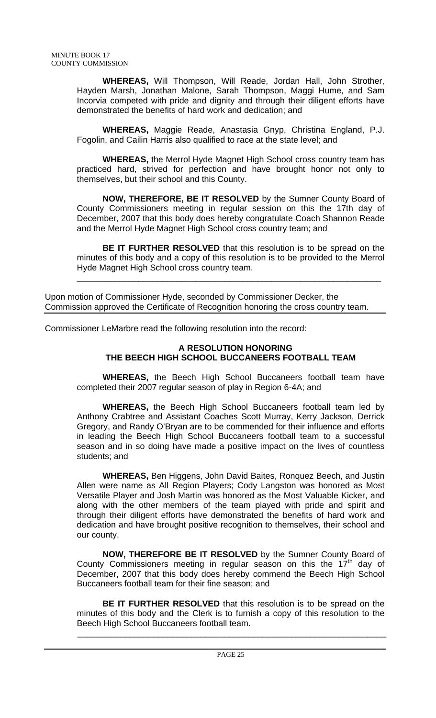**WHEREAS,** Will Thompson, Will Reade, Jordan Hall, John Strother, Hayden Marsh, Jonathan Malone, Sarah Thompson, Maggi Hume, and Sam Incorvia competed with pride and dignity and through their diligent efforts have demonstrated the benefits of hard work and dedication; and

 **WHEREAS,** Maggie Reade, Anastasia Gnyp, Christina England, P.J. Fogolin, and Cailin Harris also qualified to race at the state level; and

**WHEREAS,** the Merrol Hyde Magnet High School cross country team has practiced hard, strived for perfection and have brought honor not only to themselves, but their school and this County.

**NOW, THEREFORE, BE IT RESOLVED** by the Sumner County Board of County Commissioners meeting in regular session on this the 17th day of December, 2007 that this body does hereby congratulate Coach Shannon Reade and the Merrol Hyde Magnet High School cross country team; and

**BE IT FURTHER RESOLVED** that this resolution is to be spread on the minutes of this body and a copy of this resolution is to be provided to the Merrol Hyde Magnet High School cross country team.

\_\_\_\_\_\_\_\_\_\_\_\_\_\_\_\_\_\_\_\_\_\_\_\_\_\_\_\_\_\_\_\_\_\_\_\_\_\_\_\_\_\_\_\_\_\_\_\_\_\_\_\_\_\_\_\_\_\_\_\_\_\_\_\_

Upon motion of Commissioner Hyde, seconded by Commissioner Decker, the Commission approved the Certificate of Recognition honoring the cross country team.

Commissioner LeMarbre read the following resolution into the record:

# **A RESOLUTION HONORING THE BEECH HIGH SCHOOL BUCCANEERS FOOTBALL TEAM**

 **WHEREAS,** the Beech High School Buccaneers football team have completed their 2007 regular season of play in Region 6-4A; and

**WHEREAS,** the Beech High School Buccaneers football team led by Anthony Crabtree and Assistant Coaches Scott Murray, Kerry Jackson, Derrick Gregory, and Randy O'Bryan are to be commended for their influence and efforts in leading the Beech High School Buccaneers football team to a successful season and in so doing have made a positive impact on the lives of countless students; and

**WHEREAS,** Ben Higgens, John David Baites, Ronquez Beech, and Justin Allen were name as All Region Players; Cody Langston was honored as Most Versatile Player and Josh Martin was honored as the Most Valuable Kicker, and along with the other members of the team played with pride and spirit and through their diligent efforts have demonstrated the benefits of hard work and dedication and have brought positive recognition to themselves, their school and our county.

**NOW, THEREFORE BE IT RESOLVED** by the Sumner County Board of County Commissioners meeting in regular season on this the  $17<sup>th</sup>$  day of December, 2007 that this body does hereby commend the Beech High School Buccaneers football team for their fine season; and

**BE IT FURTHER RESOLVED** that this resolution is to be spread on the minutes of this body and the Clerk is to furnish a copy of this resolution to the Beech High School Buccaneers football team.

 $\overline{\phantom{a}}$  ,  $\overline{\phantom{a}}$  ,  $\overline{\phantom{a}}$  ,  $\overline{\phantom{a}}$  ,  $\overline{\phantom{a}}$  ,  $\overline{\phantom{a}}$  ,  $\overline{\phantom{a}}$  ,  $\overline{\phantom{a}}$  ,  $\overline{\phantom{a}}$  ,  $\overline{\phantom{a}}$  ,  $\overline{\phantom{a}}$  ,  $\overline{\phantom{a}}$  ,  $\overline{\phantom{a}}$  ,  $\overline{\phantom{a}}$  ,  $\overline{\phantom{a}}$  ,  $\overline{\phantom{a}}$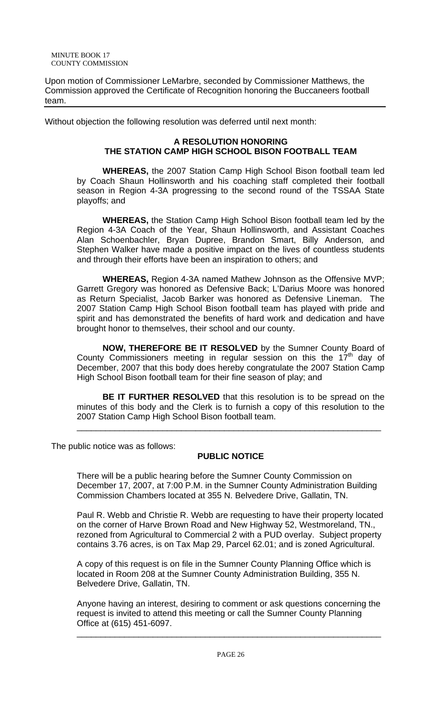Upon motion of Commissioner LeMarbre, seconded by Commissioner Matthews, the Commission approved the Certificate of Recognition honoring the Buccaneers football team.

Without objection the following resolution was deferred until next month:

## **A RESOLUTION HONORING THE STATION CAMP HIGH SCHOOL BISON FOOTBALL TEAM**

 **WHEREAS,** the 2007 Station Camp High School Bison football team led by Coach Shaun Hollinsworth and his coaching staff completed their football season in Region 4-3A progressing to the second round of the TSSAA State playoffs; and

**WHEREAS,** the Station Camp High School Bison football team led by the Region 4-3A Coach of the Year, Shaun Hollinsworth, and Assistant Coaches Alan Schoenbachler, Bryan Dupree, Brandon Smart, Billy Anderson, and Stephen Walker have made a positive impact on the lives of countless students and through their efforts have been an inspiration to others; and

**WHEREAS,** Region 4-3A named Mathew Johnson as the Offensive MVP; Garrett Gregory was honored as Defensive Back; L'Darius Moore was honored as Return Specialist, Jacob Barker was honored as Defensive Lineman. The 2007 Station Camp High School Bison football team has played with pride and spirit and has demonstrated the benefits of hard work and dedication and have brought honor to themselves, their school and our county.

**NOW, THEREFORE BE IT RESOLVED** by the Sumner County Board of County Commissioners meeting in regular session on this the  $17<sup>th</sup>$  day of December, 2007 that this body does hereby congratulate the 2007 Station Camp High School Bison football team for their fine season of play; and

**BE IT FURTHER RESOLVED** that this resolution is to be spread on the minutes of this body and the Clerk is to furnish a copy of this resolution to the 2007 Station Camp High School Bison football team.

\_\_\_\_\_\_\_\_\_\_\_\_\_\_\_\_\_\_\_\_\_\_\_\_\_\_\_\_\_\_\_\_\_\_\_\_\_\_\_\_\_\_\_\_\_\_\_\_\_\_\_\_\_\_\_\_\_\_\_\_\_\_\_\_

The public notice was as follows:

# **PUBLIC NOTICE**

There will be a public hearing before the Sumner County Commission on December 17, 2007, at 7:00 P.M. in the Sumner County Administration Building Commission Chambers located at 355 N. Belvedere Drive, Gallatin, TN.

Paul R. Webb and Christie R. Webb are requesting to have their property located on the corner of Harve Brown Road and New Highway 52, Westmoreland, TN., rezoned from Agricultural to Commercial 2 with a PUD overlay. Subject property contains 3.76 acres, is on Tax Map 29, Parcel 62.01; and is zoned Agricultural.

A copy of this request is on file in the Sumner County Planning Office which is located in Room 208 at the Sumner County Administration Building, 355 N. Belvedere Drive, Gallatin, TN.

Anyone having an interest, desiring to comment or ask questions concerning the request is invited to attend this meeting or call the Sumner County Planning Office at (615) 451-6097.

\_\_\_\_\_\_\_\_\_\_\_\_\_\_\_\_\_\_\_\_\_\_\_\_\_\_\_\_\_\_\_\_\_\_\_\_\_\_\_\_\_\_\_\_\_\_\_\_\_\_\_\_\_\_\_\_\_\_\_\_\_\_\_\_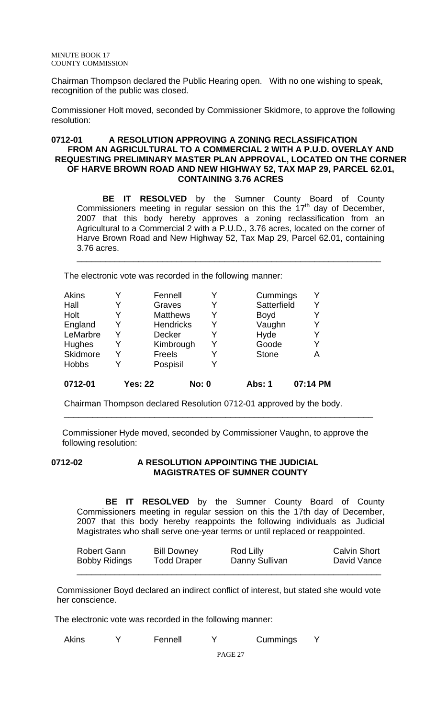Chairman Thompson declared the Public Hearing open. With no one wishing to speak, recognition of the public was closed.

Commissioner Holt moved, seconded by Commissioner Skidmore, to approve the following resolution:

## **0712-01 A RESOLUTION APPROVING A ZONING RECLASSIFICATION FROM AN AGRICULTURAL TO A COMMERCIAL 2 WITH A P.U.D. OVERLAY AND REQUESTING PRELIMINARY MASTER PLAN APPROVAL, LOCATED ON THE CORNER OF HARVE BROWN ROAD AND NEW HIGHWAY 52, TAX MAP 29, PARCEL 62.01, CONTAINING 3.76 ACRES**

**BE IT RESOLVED** by the Sumner County Board of County Commissioners meeting in regular session on this the  $17<sup>th</sup>$  day of December, 2007 that this body hereby approves a zoning reclassification from an Agricultural to a Commercial 2 with a P.U.D., 3.76 acres, located on the corner of Harve Brown Road and New Highway 52, Tax Map 29, Parcel 62.01, containing 3.76 acres.

\_\_\_\_\_\_\_\_\_\_\_\_\_\_\_\_\_\_\_\_\_\_\_\_\_\_\_\_\_\_\_\_\_\_\_\_\_\_\_\_\_\_\_\_\_\_\_\_\_\_\_\_\_\_\_\_\_\_\_\_\_\_\_\_

The electronic vote was recorded in the following manner:

| <b>Akins</b> |   | Fennell          |              | Cummings      | v        |
|--------------|---|------------------|--------------|---------------|----------|
| Hall         | Y | Graves           | Y            | Satterfield   | Y        |
| Holt         |   | <b>Matthews</b>  |              | <b>Boyd</b>   | Y        |
| England      | Y | <b>Hendricks</b> |              | Vaughn        | Y        |
| LeMarbre     | v | <b>Decker</b>    |              | Hyde          | Y        |
| Hughes       | Y | Kimbrough        |              | Goode         | Y        |
| Skidmore     | v | Freels           |              | <b>Stone</b>  | А        |
| <b>Hobbs</b> |   | Pospisil         |              |               |          |
| 0712-01      |   | <b>Yes: 22</b>   | <b>No: 0</b> | <b>Abs: 1</b> | 07:14 PM |

Chairman Thompson declared Resolution 0712-01 approved by the body.

 Commissioner Hyde moved, seconded by Commissioner Vaughn, to approve the following resolution:

\_\_\_\_\_\_\_\_\_\_\_\_\_\_\_\_\_\_\_\_\_\_\_\_\_\_\_\_\_\_\_\_\_\_\_\_\_\_\_\_\_\_\_\_\_\_\_\_\_\_\_\_\_\_\_\_\_\_\_\_\_\_\_\_\_

## **0712-02 A RESOLUTION APPOINTING THE JUDICIAL MAGISTRATES OF SUMNER COUNTY**

 **BE IT RESOLVED** by the Sumner County Board of County Commissioners meeting in regular session on this the 17th day of December, 2007 that this body hereby reappoints the following individuals as Judicial Magistrates who shall serve one-year terms or until replaced or reappointed.

| Robert Gann          | <b>Bill Downey</b> | Rod Lilly      | <b>Calvin Short</b> |
|----------------------|--------------------|----------------|---------------------|
| <b>Bobby Ridings</b> | <b>Todd Draper</b> | Danny Sullivan | David Vance         |
|                      |                    |                |                     |

 Commissioner Boyd declared an indirect conflict of interest, but stated she would vote her conscience.

The electronic vote was recorded in the following manner:

| <b>Akins</b> |  | Fennell |  | Cummings |  |
|--------------|--|---------|--|----------|--|
|--------------|--|---------|--|----------|--|

PAGE 27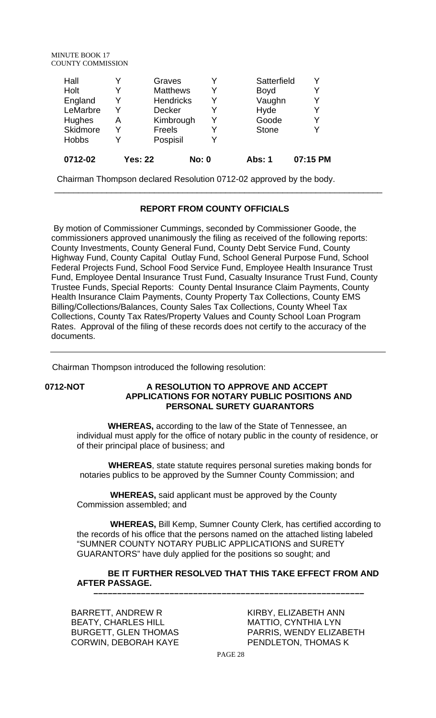MINUTE BOOK 17 COUNTY COMMISSION

| 0712-02      |   |                  |   |              |   |
|--------------|---|------------------|---|--------------|---|
| <b>Hobbs</b> |   | Pospisil         | Y |              |   |
| Skidmore     |   | Freels           | Y | <b>Stone</b> |   |
| Hughes       | Α | Kimbrough        | Y | Goode        | Y |
| LeMarbre     |   | <b>Decker</b>    | Y | Hyde         | Y |
| England      | Y | <b>Hendricks</b> | Y | Vaughn       | γ |
| Holt         |   | <b>Matthews</b>  | Y | <b>Boyd</b>  | Y |
| Hall         |   | Graves           | Y | Satterfield  |   |

Chairman Thompson declared Resolution 0712-02 approved by the body.

#### **REPORT FROM COUNTY OFFICIALS**

\_\_\_\_\_\_\_\_\_\_\_\_\_\_\_\_\_\_\_\_\_\_\_\_\_\_\_\_\_\_\_\_\_\_\_\_\_\_\_\_\_\_\_\_\_\_\_\_\_\_\_\_\_\_\_\_\_\_\_\_\_\_\_\_\_\_\_\_\_

 By motion of Commissioner Cummings, seconded by Commissioner Goode, the commissioners approved unanimously the filing as received of the following reports: County Investments, County General Fund, County Debt Service Fund, County Highway Fund, County Capital Outlay Fund, School General Purpose Fund, School Federal Projects Fund, School Food Service Fund, Employee Health Insurance Trust Fund, Employee Dental Insurance Trust Fund, Casualty Insurance Trust Fund, County Trustee Funds, Special Reports: County Dental Insurance Claim Payments, County Health Insurance Claim Payments, County Property Tax Collections, County EMS Billing/Collections/Balances, County Sales Tax Collections, County Wheel Tax Collections, County Tax Rates/Property Values and County School Loan Program Rates. Approval of the filing of these records does not certify to the accuracy of the documents.

Chairman Thompson introduced the following resolution:

#### **0712-NOT A RESOLUTION TO APPROVE AND ACCEPT APPLICATIONS FOR NOTARY PUBLIC POSITIONS AND PERSONAL SURETY GUARANTORS**

 **WHEREAS,** according to the law of the State of Tennessee, an individual must apply for the office of notary public in the county of residence, or of their principal place of business; and

 **WHEREAS**, state statute requires personal sureties making bonds for notaries publics to be approved by the Sumner County Commission; and

 **WHEREAS,** said applicant must be approved by the County Commission assembled; and

 **WHEREAS,** Bill Kemp, Sumner County Clerk, has certified according to the records of his office that the persons named on the attached listing labeled "SUMNER COUNTY NOTARY PUBLIC APPLICATIONS and SURETY GUARANTORS" have duly applied for the positions so sought; and

# **BE IT FURTHER RESOLVED THAT THIS TAKE EFFECT FROM AND AFTER PASSAGE.**

 **–––––––––––––––––––––––––––––––––––––––––––––––––––––––––**

BARRETT, ANDREW R BEATY, CHARLES HILL BURGETT, GLEN THOMAS CORWIN, DEBORAH KAYE

KIRBY, ELIZABETH ANN MATTIO, CYNTHIA LYN PARRIS, WENDY ELIZABETH PENDLETON, THOMAS K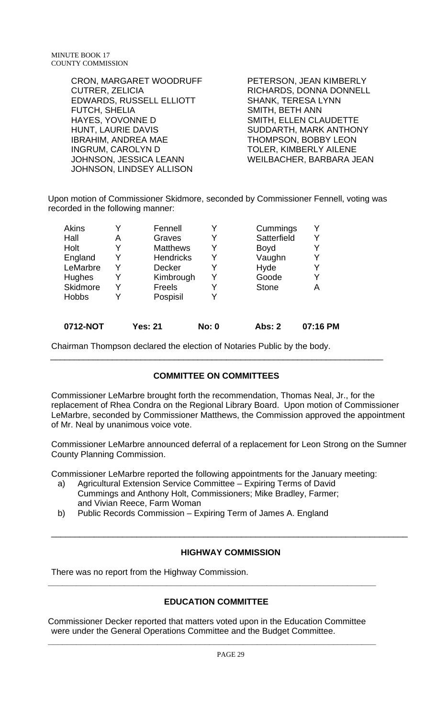| <b>CRON, MARGARET WOODRUFF</b> | PETERSON, JEAN KIMBERLY   |
|--------------------------------|---------------------------|
| <b>CUTRER, ZELICIA</b>         | RICHARDS, DONNA DONNELL   |
| EDWARDS, RUSSELL ELLIOTT       | <b>SHANK, TERESA LYNN</b> |
| FUTCH, SHELIA                  | <b>SMITH, BETH ANN</b>    |
| HAYES, YOVONNE D               | SMITH, ELLEN CLAUDETTE    |
| <b>HUNT, LAURIE DAVIS</b>      | SUDDARTH, MARK ANTHONY    |
| <b>IBRAHIM, ANDREA MAE</b>     | THOMPSON, BOBBY LEON      |
| <b>INGRUM, CAROLYN D</b>       | TOLER, KIMBERLY AILENE    |
| JOHNSON, JESSICA LEANN         | WEILBACHER, BARBARA JEAN  |
| JOHNSON, LINDSEY ALLISON       |                           |

Upon motion of Commissioner Skidmore, seconded by Commissioner Fennell, voting was recorded in the following manner:

| Akins        |   | Fennell          |   | Cummings     | Y |
|--------------|---|------------------|---|--------------|---|
| Hall         | Α | Graves           |   | Satterfield  | Y |
| Holt         |   | <b>Matthews</b>  |   | <b>Boyd</b>  | Y |
| England      |   | <b>Hendricks</b> | Y | Vaughn       | Y |
| LeMarbre     |   | <b>Decker</b>    |   | Hyde         | Y |
| Hughes       |   | Kimbrough        |   | Goode        | Y |
| Skidmore     |   | Freels           |   | <b>Stone</b> | A |
| <b>Hobbs</b> |   | Pospisil         |   |              |   |
|              |   |                  |   |              |   |

| 0712-NOT | <b>Yes: 21</b> | <b>No: 0</b> | Abs: 2 | 07:16 PM |
|----------|----------------|--------------|--------|----------|
|----------|----------------|--------------|--------|----------|

Chairman Thompson declared the election of Notaries Public by the body.

# **COMMITTEE ON COMMITTEES**

\_\_\_\_\_\_\_\_\_\_\_\_\_\_\_\_\_\_\_\_\_\_\_\_\_\_\_\_\_\_\_\_\_\_\_\_\_\_\_\_\_\_\_\_\_\_\_\_\_\_\_\_\_\_\_\_\_\_\_\_\_\_\_\_\_\_\_\_\_\_

Commissioner LeMarbre brought forth the recommendation, Thomas Neal, Jr., for the replacement of Rhea Condra on the Regional Library Board. Upon motion of Commissioner LeMarbre, seconded by Commissioner Matthews, the Commission approved the appointment of Mr. Neal by unanimous voice vote.

Commissioner LeMarbre announced deferral of a replacement for Leon Strong on the Sumner County Planning Commission.

Commissioner LeMarbre reported the following appointments for the January meeting:

- a) Agricultural Extension Service Committee Expiring Terms of David Cummings and Anthony Holt, Commissioners; Mike Bradley, Farmer; and Vivian Reece, Farm Woman
- b) Public Records Commission Expiring Term of James A. England

# **HIGHWAY COMMISSION**

\_\_\_\_\_\_\_\_\_\_\_\_\_\_\_\_\_\_\_\_\_\_\_\_\_\_\_\_\_\_\_\_\_\_\_\_\_\_\_\_\_\_\_\_\_\_\_\_\_\_\_\_\_\_\_\_\_\_\_\_\_\_\_\_\_\_\_\_\_\_\_\_\_\_\_

There was no report from the Highway Commission.

# **EDUCATION COMMITTEE**

**\_\_\_\_\_\_\_\_\_\_\_\_\_\_\_\_\_\_\_\_\_\_\_\_\_\_\_\_\_\_\_\_\_\_\_\_\_\_\_\_\_\_\_\_\_\_\_\_\_\_\_\_\_\_\_\_\_\_\_\_\_\_\_\_\_\_\_\_\_** 

Commissioner Decker reported that matters voted upon in the Education Committee were under the General Operations Committee and the Budget Committee.

**\_\_\_\_\_\_\_\_\_\_\_\_\_\_\_\_\_\_\_\_\_\_\_\_\_\_\_\_\_\_\_\_\_\_\_\_\_\_\_\_\_\_\_\_\_\_\_\_\_\_\_\_\_\_\_\_\_\_\_\_\_\_\_\_\_\_\_\_\_**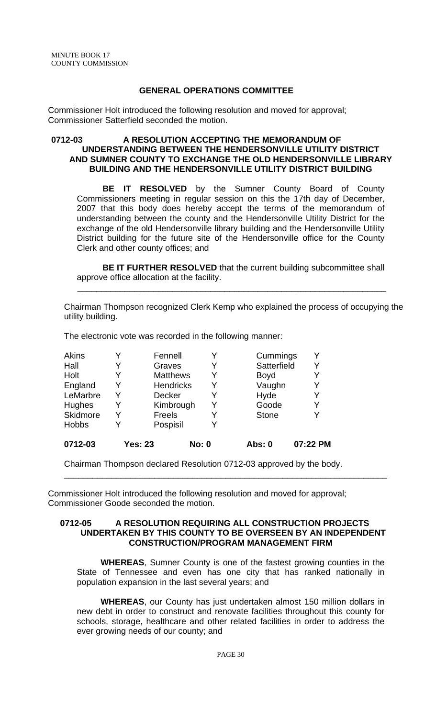### **GENERAL OPERATIONS COMMITTEE**

Commissioner Holt introduced the following resolution and moved for approval; Commissioner Satterfield seconded the motion.

#### **0712-03 A RESOLUTION ACCEPTING THE MEMORANDUM OF UNDERSTANDING BETWEEN THE HENDERSONVILLE UTILITY DISTRICT AND SUMNER COUNTY TO EXCHANGE THE OLD HENDERSONVILLE LIBRARY BUILDING AND THE HENDERSONVILLE UTILITY DISTRICT BUILDING**

 **BE IT RESOLVED** by the Sumner County Board of County Commissioners meeting in regular session on this the 17th day of December, 2007 that this body does hereby accept the terms of the memorandum of understanding between the county and the Hendersonville Utility District for the exchange of the old Hendersonville library building and the Hendersonville Utility District building for the future site of the Hendersonville office for the County Clerk and other county offices; and

**BE IT FURTHER RESOLVED** that the current building subcommittee shall approve office allocation at the facility.

 $\frac{1}{2}$  ,  $\frac{1}{2}$  ,  $\frac{1}{2}$  ,  $\frac{1}{2}$  ,  $\frac{1}{2}$  ,  $\frac{1}{2}$  ,  $\frac{1}{2}$  ,  $\frac{1}{2}$  ,  $\frac{1}{2}$  ,  $\frac{1}{2}$  ,  $\frac{1}{2}$  ,  $\frac{1}{2}$  ,  $\frac{1}{2}$  ,  $\frac{1}{2}$  ,  $\frac{1}{2}$  ,  $\frac{1}{2}$  ,  $\frac{1}{2}$  ,  $\frac{1}{2}$  ,  $\frac{1$ 

Chairman Thompson recognized Clerk Kemp who explained the process of occupying the utility building.

|   | Pospisil        | v |                               |   |
|---|-----------------|---|-------------------------------|---|
|   | Freels          | Y | <b>Stone</b>                  |   |
|   |                 | Y | Goode                         | Y |
|   | <b>Decker</b>   | Y | Hyde                          |   |
| Y |                 | Y | Vaughn                        | Y |
|   | <b>Matthews</b> | Y | <b>Boyd</b>                   |   |
|   | Graves          | Y | Satterfield                   | Y |
|   | Fennell         | Y | Cummings                      | Y |
|   |                 |   | <b>Hendricks</b><br>Kimbrough |   |

The electronic vote was recorded in the following manner:

Chairman Thompson declared Resolution 0712-03 approved by the body.

Commissioner Holt introduced the following resolution and moved for approval; Commissioner Goode seconded the motion.

### **0712-05 A RESOLUTION REQUIRING ALL CONSTRUCTION PROJECTS UNDERTAKEN BY THIS COUNTY TO BE OVERSEEN BY AN INDEPENDENT CONSTRUCTION/PROGRAM MANAGEMENT FIRM**

\_\_\_\_\_\_\_\_\_\_\_\_\_\_\_\_\_\_\_\_\_\_\_\_\_\_\_\_\_\_\_\_\_\_\_\_\_\_\_\_\_\_\_\_\_\_\_\_\_\_\_\_\_\_\_\_\_\_\_\_\_\_\_\_\_\_\_\_

 **WHEREAS**, Sumner County is one of the fastest growing counties in the State of Tennessee and even has one city that has ranked nationally in population expansion in the last several years; and

 **WHEREAS**, our County has just undertaken almost 150 million dollars in new debt in order to construct and renovate facilities throughout this county for schools, storage, healthcare and other related facilities in order to address the ever growing needs of our county; and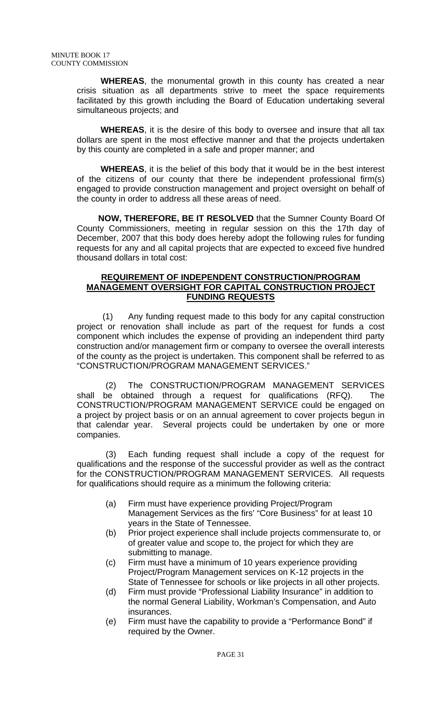**WHEREAS**, the monumental growth in this county has created a near crisis situation as all departments strive to meet the space requirements facilitated by this growth including the Board of Education undertaking several simultaneous projects; and

 **WHEREAS**, it is the desire of this body to oversee and insure that all tax dollars are spent in the most effective manner and that the projects undertaken by this county are completed in a safe and proper manner; and

 **WHEREAS**, it is the belief of this body that it would be in the best interest of the citizens of our county that there be independent professional firm(s) engaged to provide construction management and project oversight on behalf of the county in order to address all these areas of need.

 **NOW, THEREFORE, BE IT RESOLVED** that the Sumner County Board Of County Commissioners, meeting in regular session on this the 17th day of December, 2007 that this body does hereby adopt the following rules for funding requests for any and all capital projects that are expected to exceed five hundred thousand dollars in total cost:

## **REQUIREMENT OF INDEPENDENT CONSTRUCTION/PROGRAM MANAGEMENT OVERSIGHT FOR CAPITAL CONSTRUCTION PROJECT FUNDING REQUESTS**

(1) Any funding request made to this body for any capital construction project or renovation shall include as part of the request for funds a cost component which includes the expense of providing an independent third party construction and/or management firm or company to oversee the overall interests of the county as the project is undertaken. This component shall be referred to as "CONSTRUCTION/PROGRAM MANAGEMENT SERVICES."

(2) The CONSTRUCTION/PROGRAM MANAGEMENT SERVICES shall be obtained through a request for qualifications (RFQ). The CONSTRUCTION/PROGRAM MANAGEMENT SERVICE could be engaged on a project by project basis or on an annual agreement to cover projects begun in that calendar year. Several projects could be undertaken by one or more companies.

(3) Each funding request shall include a copy of the request for qualifications and the response of the successful provider as well as the contract for the CONSTRUCTION/PROGRAM MANAGEMENT SERVICES. All requests for qualifications should require as a minimum the following criteria:

- (a) Firm must have experience providing Project/Program Management Services as the firs' "Core Business" for at least 10 years in the State of Tennessee.
- (b) Prior project experience shall include projects commensurate to, or of greater value and scope to, the project for which they are submitting to manage.
- (c) Firm must have a minimum of 10 years experience providing Project/Program Management services on K-12 projects in the State of Tennessee for schools or like projects in all other projects.
- (d) Firm must provide "Professional Liability Insurance" in addition to the normal General Liability, Workman's Compensation, and Auto insurances.
- (e) Firm must have the capability to provide a "Performance Bond" if required by the Owner.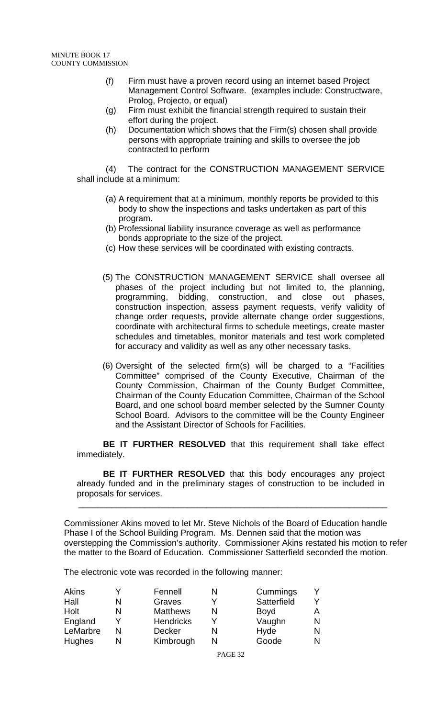- (f) Firm must have a proven record using an internet based Project Management Control Software. (examples include: Constructware, Prolog, Projecto, or equal)
- (g) Firm must exhibit the financial strength required to sustain their effort during the project.
- (h) Documentation which shows that the Firm(s) chosen shall provide persons with appropriate training and skills to oversee the job contracted to perform

(4) The contract for the CONSTRUCTION MANAGEMENT SERVICE shall include at a minimum:

- (a) A requirement that at a minimum, monthly reports be provided to this body to show the inspections and tasks undertaken as part of this program.
- (b) Professional liability insurance coverage as well as performance bonds appropriate to the size of the project.
- (c) How these services will be coordinated with existing contracts.
- (5) The CONSTRUCTION MANAGEMENT SERVICE shall oversee all phases of the project including but not limited to, the planning, programming, bidding, construction, and close out phases, construction inspection, assess payment requests, verify validity of change order requests, provide alternate change order suggestions, coordinate with architectural firms to schedule meetings, create master schedules and timetables, monitor materials and test work completed for accuracy and validity as well as any other necessary tasks.
- (6) Oversight of the selected firm(s) will be charged to a "Facilities Committee" comprised of the County Executive, Chairman of the County Commission, Chairman of the County Budget Committee, Chairman of the County Education Committee, Chairman of the School Board, and one school board member selected by the Sumner County School Board. Advisors to the committee will be the County Engineer and the Assistant Director of Schools for Facilities.

 **BE IT FURTHER RESOLVED** that this requirement shall take effect immediately.

 **BE IT FURTHER RESOLVED** that this body encourages any project already funded and in the preliminary stages of construction to be included in proposals for services.  $\frac{1}{\sqrt{1-\frac{1}{2}-\frac{1}{2}-\frac{1}{2}-\frac{1}{2}-\frac{1}{2}-\frac{1}{2}-\frac{1}{2}-\frac{1}{2}-\frac{1}{2}-\frac{1}{2}-\frac{1}{2}-\frac{1}{2}-\frac{1}{2}-\frac{1}{2}-\frac{1}{2}-\frac{1}{2}-\frac{1}{2}-\frac{1}{2}-\frac{1}{2}-\frac{1}{2}-\frac{1}{2}-\frac{1}{2}-\frac{1}{2}-\frac{1}{2}-\frac{1}{2}-\frac{1}{2}-\frac{1}{2}-\frac{1}{2}-\frac{1}{2}-\frac{1}{2}-\$ 

Commissioner Akins moved to let Mr. Steve Nichols of the Board of Education handle Phase I of the School Building Program. Ms. Dennen said that the motion was overstepping the Commission's authority. Commissioner Akins restated his motion to refer the matter to the Board of Education. Commissioner Satterfield seconded the motion.

The electronic vote was recorded in the following manner:

| <b>Akins</b>  | Fennell          | Cummings    |   |
|---------------|------------------|-------------|---|
| Hall          | Graves           | Satterfield |   |
| Holt          | <b>Matthews</b>  | <b>Boyd</b> |   |
| England       | <b>Hendricks</b> | Vaughn      | N |
| LeMarbre      | <b>Decker</b>    | Hyde        |   |
| <b>Hughes</b> | Kimbrough        | Goode       | N |

PAGE 32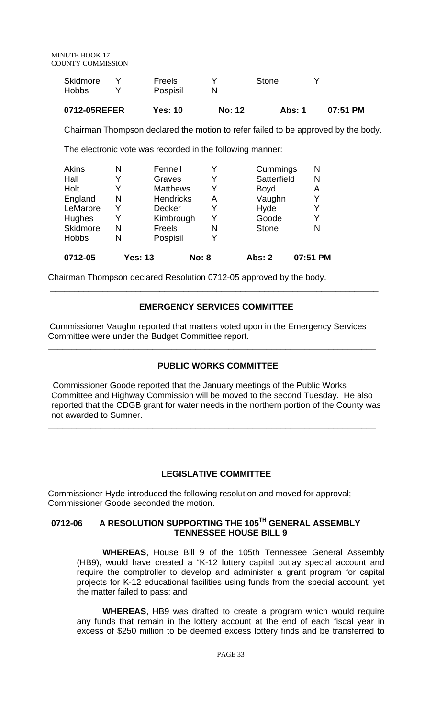| 0712-05REFER | Yes: 10  | No: 12 | Abs: 1 | $07:51$ PM |
|--------------|----------|--------|--------|------------|
| <b>Hobbs</b> | Pospisil |        |        |            |
| Skidmore     | Freels   |        | Stone  |            |

Chairman Thompson declared the motion to refer failed to be approved by the body.

The electronic vote was recorded in the following manner:

| 0712-05      |   | Yes: 13          | <b>No: 8</b> | Abs: 2       | 07:51 PM |
|--------------|---|------------------|--------------|--------------|----------|
| <b>Hobbs</b> | N | Pospisil         | Y            |              |          |
| Skidmore     | N | Freels           | N            | <b>Stone</b> | N        |
| Hughes       |   | Kimbrough        |              | Goode        | Y        |
| LeMarbre     |   | Decker           | Y            | Hyde         | Y        |
| England      | N | <b>Hendricks</b> | Α            | Vaughn       | Y        |
| Holt         |   | <b>Matthews</b>  |              | <b>Boyd</b>  | Α        |
| Hall         |   | Graves           | Y            | Satterfield  | N        |
| Akins        | N | Fennell          | Y            | Cummings     | N        |

Chairman Thompson declared Resolution 0712-05 approved by the body.

## **EMERGENCY SERVICES COMMITTEE**

\_\_\_\_\_\_\_\_\_\_\_\_\_\_\_\_\_\_\_\_\_\_\_\_\_\_\_\_\_\_\_\_\_\_\_\_\_\_\_\_\_\_\_\_\_\_\_\_\_\_\_\_\_\_\_\_\_\_\_\_\_\_\_\_\_\_\_\_\_

 Commissioner Vaughn reported that matters voted upon in the Emergency Services Committee were under the Budget Committee report.

**\_\_\_\_\_\_\_\_\_\_\_\_\_\_\_\_\_\_\_\_\_\_\_\_\_\_\_\_\_\_\_\_\_\_\_\_\_\_\_\_\_\_\_\_\_\_\_\_\_\_\_\_\_\_\_\_\_\_\_\_\_\_\_\_\_\_\_\_\_** 

# **PUBLIC WORKS COMMITTEE**

 Commissioner Goode reported that the January meetings of the Public Works Committee and Highway Commission will be moved to the second Tuesday. He also reported that the CDGB grant for water needs in the northern portion of the County was not awarded to Sumner.

**\_\_\_\_\_\_\_\_\_\_\_\_\_\_\_\_\_\_\_\_\_\_\_\_\_\_\_\_\_\_\_\_\_\_\_\_\_\_\_\_\_\_\_\_\_\_\_\_\_\_\_\_\_\_\_\_\_\_\_\_\_\_\_\_\_\_\_\_\_** 

#### **LEGISLATIVE COMMITTEE**

Commissioner Hyde introduced the following resolution and moved for approval; Commissioner Goode seconded the motion.

# **0712-06 A RESOLUTION SUPPORTING THE 105TH GENERAL ASSEMBLY TENNESSEE HOUSE BILL 9**

**WHEREAS**, House Bill 9 of the 105th Tennessee General Assembly (HB9), would have created a "K-12 lottery capital outlay special account and require the comptroller to develop and administer a grant program for capital projects for K-12 educational facilities using funds from the special account, yet the matter failed to pass; and

**WHEREAS**, HB9 was drafted to create a program which would require any funds that remain in the lottery account at the end of each fiscal year in excess of \$250 million to be deemed excess lottery finds and be transferred to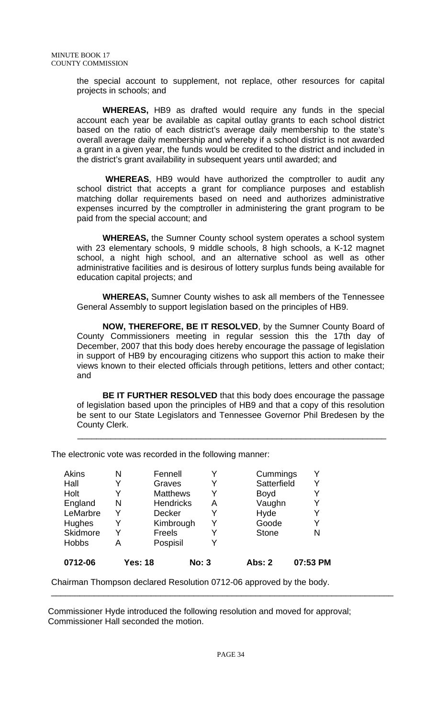the special account to supplement, not replace, other resources for capital projects in schools; and

**WHEREAS,** HB9 as drafted would require any funds in the special account each year be available as capital outlay grants to each school district based on the ratio of each district's average daily membership to the state's overall average daily membership and whereby if a school district is not awarded a grant in a given year, the funds would be credited to the district and included in the district's grant availability in subsequent years until awarded; and

 **WHEREAS**, HB9 would have authorized the comptroller to audit any school district that accepts a grant for compliance purposes and establish matching dollar requirements based on need and authorizes administrative expenses incurred by the comptroller in administering the grant program to be paid from the special account; and

**WHEREAS,** the Sumner County school system operates a school system with 23 elementary schools, 9 middle schools, 8 high schools, a K-12 magnet school, a night high school, and an alternative school as well as other administrative facilities and is desirous of lottery surplus funds being available for education capital projects; and

**WHEREAS,** Sumner County wishes to ask all members of the Tennessee General Assembly to support legislation based on the principles of HB9.

**NOW, THEREFORE, BE IT RESOLVED**, by the Sumner County Board of County Commissioners meeting in regular session this the 17th day of December, 2007 that this body does hereby encourage the passage of legislation in support of HB9 by encouraging citizens who support this action to make their views known to their elected officials through petitions, letters and other contact; and

**BE IT FURTHER RESOLVED** that this body does encourage the passage of legislation based upon the principles of HB9 and that a copy of this resolution be sent to our State Legislators and Tennessee Governor Phil Bredesen by the County Clerk.

 $\frac{1}{2}$  ,  $\frac{1}{2}$  ,  $\frac{1}{2}$  ,  $\frac{1}{2}$  ,  $\frac{1}{2}$  ,  $\frac{1}{2}$  ,  $\frac{1}{2}$  ,  $\frac{1}{2}$  ,  $\frac{1}{2}$  ,  $\frac{1}{2}$  ,  $\frac{1}{2}$  ,  $\frac{1}{2}$  ,  $\frac{1}{2}$  ,  $\frac{1}{2}$  ,  $\frac{1}{2}$  ,  $\frac{1}{2}$  ,  $\frac{1}{2}$  ,  $\frac{1}{2}$  ,  $\frac{1$ 

The electronic vote was recorded in the following manner:

| 0712-06      |   | <b>Yes: 18</b>   | <b>No: 3</b> | <b>Abs: 2</b> | 07:53 PM |
|--------------|---|------------------|--------------|---------------|----------|
| <b>Hobbs</b> | A | Pospisil         | Y            |               |          |
| Skidmore     |   | Freels           | Y            | <b>Stone</b>  | N        |
| Hughes       |   | Kimbrough        | Y            | Goode         |          |
| LeMarbre     |   | <b>Decker</b>    | Y            | Hyde          |          |
| England      | N | <b>Hendricks</b> | Α            | Vaughn        | Y        |
| Holt         |   | <b>Matthews</b>  | Y            | <b>Boyd</b>   |          |
| Hall         |   | Graves           | Y            | Satterfield   |          |
| <b>Akins</b> | N | Fennell          | Y            | Cummings      |          |
|              |   |                  |              |               |          |

Chairman Thompson declared Resolution 0712-06 approved by the body.

Commissioner Hyde introduced the following resolution and moved for approval; Commissioner Hall seconded the motion.

\_\_\_\_\_\_\_\_\_\_\_\_\_\_\_\_\_\_\_\_\_\_\_\_\_\_\_\_\_\_\_\_\_\_\_\_\_\_\_\_\_\_\_\_\_\_\_\_\_\_\_\_\_\_\_\_\_\_\_\_\_\_\_\_\_\_\_\_\_\_\_\_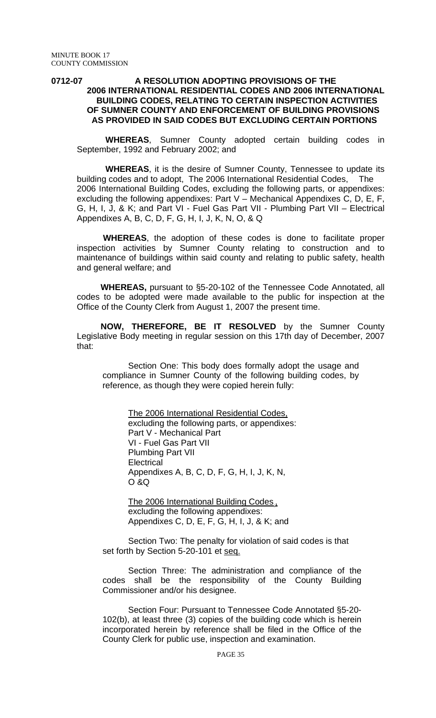#### **0712-07 A RESOLUTION ADOPTING PROVISIONS OF THE 2006 INTERNATIONAL RESIDENTIAL CODES AND 2006 INTERNATIONAL BUILDING CODES, RELATING TO CERTAIN INSPECTION ACTIVITIES OF SUMNER COUNTY AND ENFORCEMENT OF BUILDING PROVISIONS AS PROVIDED IN SAID CODES BUT EXCLUDING CERTAIN PORTIONS**

 **WHEREAS**, Sumner County adopted certain building codes in September, 1992 and February 2002; and

 **WHEREAS**, it is the desire of Sumner County, Tennessee to update its building codes and to adopt, The 2006 International Residential Codes, The 2006 International Building Codes, excluding the following parts, or appendixes: excluding the following appendixes: Part V – Mechanical Appendixes C, D, E, F, G, H, I, J, & K; and Part VI - Fuel Gas Part VII - Plumbing Part VII – Electrical Appendixes A, B, C, D, F, G, H, I, J, K, N, O, & Q

 **WHEREAS**, the adoption of these codes is done to facilitate proper inspection activities by Sumner County relating to construction and to maintenance of buildings within said county and relating to public safety, health and general welfare; and

 **WHEREAS,** pursuant to §5-20-102 of the Tennessee Code Annotated, all codes to be adopted were made available to the public for inspection at the Office of the County Clerk from August 1, 2007 the present time.

 **NOW, THEREFORE, BE IT RESOLVED** by the Sumner County Legislative Body meeting in regular session on this 17th day of December, 2007 that:

Section One: This body does formally adopt the usage and compliance in Sumner County of the following building codes, by reference, as though they were copied herein fully:

The 2006 International Residential Codes, excluding the following parts, or appendixes: Part V - Mechanical Part VI - Fuel Gas Part VII Plumbing Part VII **Electrical** Appendixes A, B, C, D, F, G, H, I, J, K, N, O &Q

The 2006 International Building Codes., excluding the following appendixes: Appendixes C, D, E, F, G, H, I, J, & K; and

Section Two: The penalty for violation of said codes is that set forth by Section 5-20-101 et seq.

Section Three: The administration and compliance of the codes shall be the responsibility of the County Building Commissioner and/or his designee.

Section Four: Pursuant to Tennessee Code Annotated §5-20- 102(b), at least three (3) copies of the building code which is herein incorporated herein by reference shall be filed in the Office of the County Clerk for public use, inspection and examination.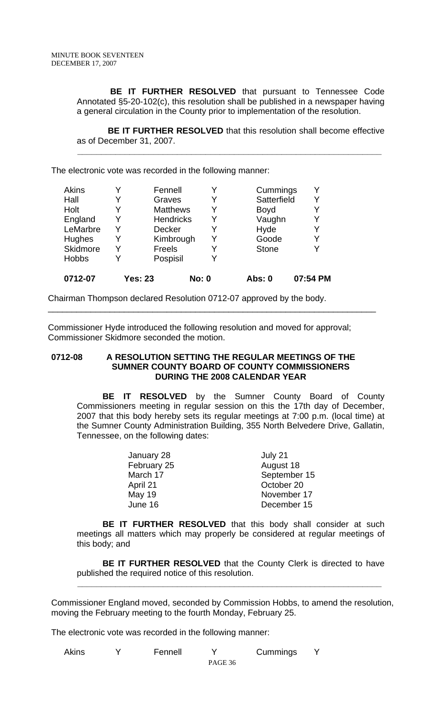**BE IT FURTHER RESOLVED** that pursuant to Tennessee Code Annotated §5-20-102(c), this resolution shall be published in a newspaper having a general circulation in the County prior to implementation of the resolution.

 **BE IT FURTHER RESOLVED** that this resolution shall become effective as of December 31, 2007.

 **\_\_\_\_\_\_\_\_\_\_\_\_\_\_\_\_\_\_\_\_\_\_\_\_\_\_\_\_\_\_\_\_\_\_\_\_\_\_\_\_\_\_\_\_\_\_\_\_\_\_\_\_\_\_\_\_\_\_\_\_\_\_\_\_** 

The electronic vote was recorded in the following manner:

| Akins        |   | Fennell          |              | Cummings      | Y        |
|--------------|---|------------------|--------------|---------------|----------|
| Hall         |   | Graves           | Y            | Satterfield   | Y        |
| Holt         |   | <b>Matthews</b>  | Y            | <b>Boyd</b>   | Y        |
| England      | Y | <b>Hendricks</b> | Y            | Vaughn        | Y        |
| LeMarbre     | Y | <b>Decker</b>    | Y            | Hyde          | Y        |
| Hughes       | Y | Kimbrough        | Y            | Goode         | Y        |
| Skidmore     |   | Freels           |              | <b>Stone</b>  | Y        |
| <b>Hobbs</b> |   | Pospisil         |              |               |          |
| 0712-07      |   | <b>Yes: 23</b>   | <b>No: 0</b> | <b>Abs: 0</b> | 07:54 PM |

Chairman Thompson declared Resolution 0712-07 approved by the body.

Commissioner Hyde introduced the following resolution and moved for approval; Commissioner Skidmore seconded the motion.

\_\_\_\_\_\_\_\_\_\_\_\_\_\_\_\_\_\_\_\_\_\_\_\_\_\_\_\_\_\_\_\_\_\_\_\_\_\_\_\_\_\_\_\_\_\_\_\_\_\_\_\_\_\_\_\_\_\_\_\_\_\_\_\_\_\_\_\_\_

#### **0712-08 A RESOLUTION SETTING THE REGULAR MEETINGS OF THE SUMNER COUNTY BOARD OF COUNTY COMMISSIONERS DURING THE 2008 CALENDAR YEAR**

 **BE IT RESOLVED** by the Sumner County Board of County Commissioners meeting in regular session on this the 17th day of December, 2007 that this body hereby sets its regular meetings at 7:00 p.m. (local time) at the Sumner County Administration Building, 355 North Belvedere Drive, Gallatin, Tennessee, on the following dates:

| January 28    | July 21      |
|---------------|--------------|
| February 25   | August 18    |
| March 17      | September 15 |
| April 21      | October 20   |
| <b>May 19</b> | November 17  |
| June 16       | December 15  |

**BE IT FURTHER RESOLVED** that this body shall consider at such meetings all matters which may properly be considered at regular meetings of this body; and

**BE IT FURTHER RESOLVED** that the County Clerk is directed to have published the required notice of this resolution.

Commissioner England moved, seconded by Commission Hobbs, to amend the resolution, moving the February meeting to the fourth Monday, February 25.

 **\_\_\_\_\_\_\_\_\_\_\_\_\_\_\_\_\_\_\_\_\_\_\_\_\_\_\_\_\_\_\_\_\_\_\_\_\_\_\_\_\_\_\_\_\_\_\_\_\_\_\_\_\_\_\_\_\_\_\_\_\_\_\_\_**

The electronic vote was recorded in the following manner:

| Akins | Fennell |         | Cummings |  |
|-------|---------|---------|----------|--|
|       |         | PAGE 36 |          |  |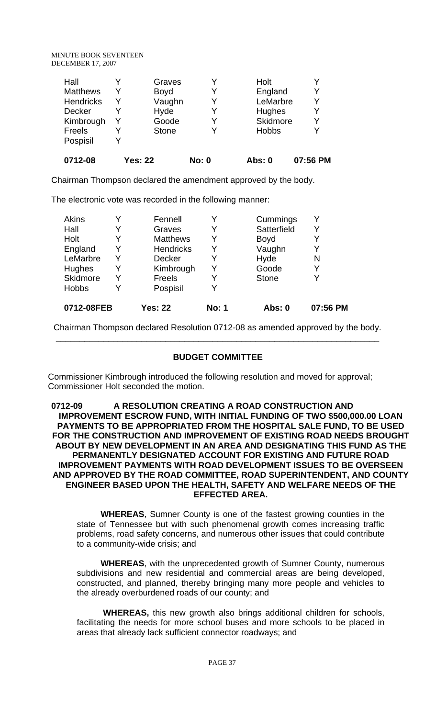|  | Y                                                                | <b>Hobbs</b> |   |
|--|------------------------------------------------------------------|--------------|---|
|  | Y                                                                | Skidmore     |   |
|  | Y                                                                | Hughes       | v |
|  | Y                                                                | LeMarbre     |   |
|  | Y                                                                | England      |   |
|  | Y                                                                | Holt         |   |
|  | Graves<br><b>Boyd</b><br>Vaughn<br>Hyde<br>Goode<br><b>Stone</b> |              |   |

Chairman Thompson declared the amendment approved by the body.

The electronic vote was recorded in the following manner:

| 0712-08FEB   |   | <b>Yes: 22</b>   | <b>No: 1</b> | Abs: 0       | 07:56 PM |
|--------------|---|------------------|--------------|--------------|----------|
| <b>Hobbs</b> |   | Pospisil         |              |              |          |
| Skidmore     | Y | Freels           | Y            | <b>Stone</b> | Y        |
| Hughes       | Y | Kimbrough        | Y            | Goode        | Y        |
| LeMarbre     | Y | <b>Decker</b>    |              | Hyde         | N        |
| England      | Y | <b>Hendricks</b> | Y            | Vaughn       | Y        |
| Holt         | Y | <b>Matthews</b>  | Y            | <b>Boyd</b>  | Y        |
| Hall         | Y | Graves           | Y            | Satterfield  | Y        |
| Akins        | v | Fennell          |              | Cummings     | Y        |

 Chairman Thompson declared Resolution 0712-08 as amended approved by the body.  $\overline{\phantom{a}}$  , and the contribution of the contribution of the contribution of the contribution of the contribution of  $\overline{\phantom{a}}$ 

# **BUDGET COMMITTEE**

Commissioner Kimbrough introduced the following resolution and moved for approval; Commissioner Holt seconded the motion.

#### 0712-09 A RESOLUTION CREATING A ROAD CONSTRUCTION AND **IMPROVEMENT ESCROW FUND, WITH INITIAL FUNDING OF TWO \$500,000.00 LOAN PAYMENTS TO BE APPROPRIATED FROM THE HOSPITAL SALE FUND, TO BE USED FOR THE CONSTRUCTION AND IMPROVEMENT OF EXISTING ROAD NEEDS BROUGHT ABOUT BY NEW DEVELOPMENT IN AN AREA AND DESIGNATING THIS FUND AS THE PERMANENTLY DESIGNATED ACCOUNT FOR EXISTING AND FUTURE ROAD IMPROVEMENT PAYMENTS WITH ROAD DEVELOPMENT ISSUES TO BE OVERSEEN AND APPROVED BY THE ROAD COMMITTEE, ROAD SUPERINTENDENT, AND COUNTY ENGINEER BASED UPON THE HEALTH, SAFETY AND WELFARE NEEDS OF THE EFFECTED AREA.**

 **WHEREAS**, Sumner County is one of the fastest growing counties in the state of Tennessee but with such phenomenal growth comes increasing traffic problems, road safety concerns, and numerous other issues that could contribute to a community-wide crisis; and

 **WHEREAS**, with the unprecedented growth of Sumner County, numerous subdivisions and new residential and commercial areas are being developed, constructed, and planned, thereby bringing many more people and vehicles to the already overburdened roads of our county; and

 **WHEREAS,** this new growth also brings additional children for schools, facilitating the needs for more school buses and more schools to be placed in areas that already lack sufficient connector roadways; and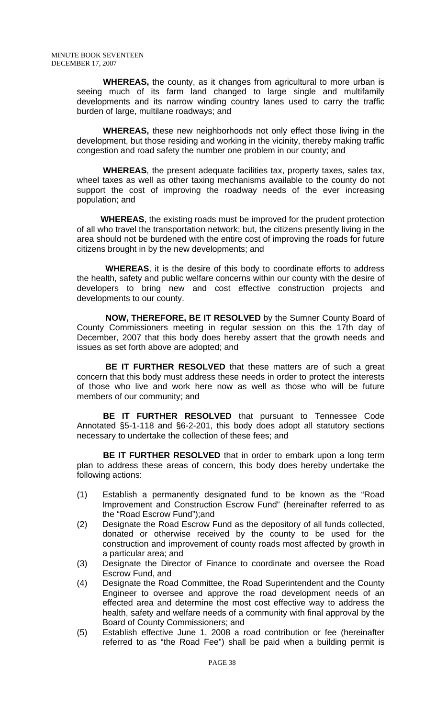**WHEREAS,** the county, as it changes from agricultural to more urban is seeing much of its farm land changed to large single and multifamily developments and its narrow winding country lanes used to carry the traffic burden of large, multilane roadways; and

 **WHEREAS,** these new neighborhoods not only effect those living in the development, but those residing and working in the vicinity, thereby making traffic congestion and road safety the number one problem in our county; and

 **WHEREAS**, the present adequate facilities tax, property taxes, sales tax, wheel taxes as well as other taxing mechanisms available to the county do not support the cost of improving the roadway needs of the ever increasing population; and

 **WHEREAS**, the existing roads must be improved for the prudent protection of all who travel the transportation network; but, the citizens presently living in the area should not be burdened with the entire cost of improving the roads for future citizens brought in by the new developments; and

 **WHEREAS**, it is the desire of this body to coordinate efforts to address the health, safety and public welfare concerns within our county with the desire of developers to bring new and cost effective construction projects and developments to our county.

 **NOW, THEREFORE, BE IT RESOLVED** by the Sumner County Board of County Commissioners meeting in regular session on this the 17th day of December, 2007 that this body does hereby assert that the growth needs and issues as set forth above are adopted; and

 **BE IT FURTHER RESOLVED** that these matters are of such a great concern that this body must address these needs in order to protect the interests of those who live and work here now as well as those who will be future members of our community; and

 **BE IT FURTHER RESOLVED** that pursuant to Tennessee Code Annotated §5-1-118 and §6-2-201, this body does adopt all statutory sections necessary to undertake the collection of these fees; and

**BE IT FURTHER RESOLVED** that in order to embark upon a long term plan to address these areas of concern, this body does hereby undertake the following actions:

- (1) Establish a permanently designated fund to be known as the "Road Improvement and Construction Escrow Fund" (hereinafter referred to as the "Road Escrow Fund");and
- (2) Designate the Road Escrow Fund as the depository of all funds collected, donated or otherwise received by the county to be used for the construction and improvement of county roads most affected by growth in a particular area; and
- (3) Designate the Director of Finance to coordinate and oversee the Road Escrow Fund, and
- (4) Designate the Road Committee, the Road Superintendent and the County Engineer to oversee and approve the road development needs of an effected area and determine the most cost effective way to address the health, safety and welfare needs of a community with final approval by the Board of County Commissioners; and
- (5) Establish effective June 1, 2008 a road contribution or fee (hereinafter referred to as "the Road Fee") shall be paid when a building permit is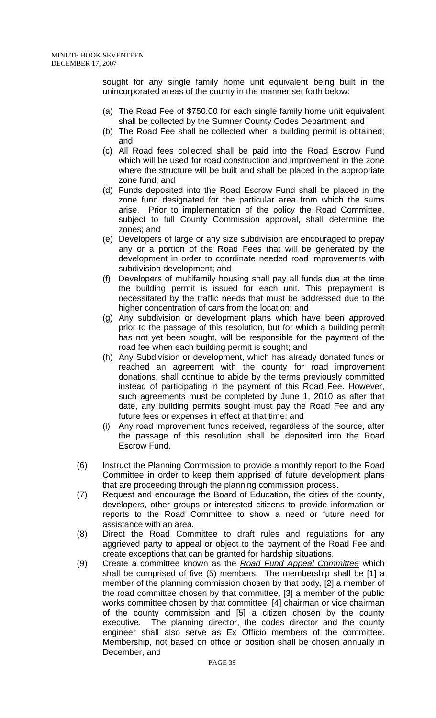sought for any single family home unit equivalent being built in the unincorporated areas of the county in the manner set forth below:

- (a) The Road Fee of \$750.00 for each single family home unit equivalent shall be collected by the Sumner County Codes Department; and
- (b) The Road Fee shall be collected when a building permit is obtained; and
- (c) All Road fees collected shall be paid into the Road Escrow Fund which will be used for road construction and improvement in the zone where the structure will be built and shall be placed in the appropriate zone fund; and
- (d) Funds deposited into the Road Escrow Fund shall be placed in the zone fund designated for the particular area from which the sums arise. Prior to implementation of the policy the Road Committee, subject to full County Commission approval, shall determine the zones; and
- (e) Developers of large or any size subdivision are encouraged to prepay any or a portion of the Road Fees that will be generated by the development in order to coordinate needed road improvements with subdivision development; and
- (f) Developers of multifamily housing shall pay all funds due at the time the building permit is issued for each unit. This prepayment is necessitated by the traffic needs that must be addressed due to the higher concentration of cars from the location; and
- (g) Any subdivision or development plans which have been approved prior to the passage of this resolution, but for which a building permit has not yet been sought, will be responsible for the payment of the road fee when each building permit is sought; and
- (h) Any Subdivision or development, which has already donated funds or reached an agreement with the county for road improvement donations, shall continue to abide by the terms previously committed instead of participating in the payment of this Road Fee. However, such agreements must be completed by June 1, 2010 as after that date, any building permits sought must pay the Road Fee and any future fees or expenses in effect at that time; and
- (i) Any road improvement funds received, regardless of the source, after the passage of this resolution shall be deposited into the Road Escrow Fund.
- (6) Instruct the Planning Commission to provide a monthly report to the Road Committee in order to keep them apprised of future development plans that are proceeding through the planning commission process.
- (7) Request and encourage the Board of Education, the cities of the county, developers, other groups or interested citizens to provide information or reports to the Road Committee to show a need or future need for assistance with an area.
- (8) Direct the Road Committee to draft rules and regulations for any aggrieved party to appeal or object to the payment of the Road Fee and create exceptions that can be granted for hardship situations.
- (9) Create a committee known as the *Road Fund Appeal Committee* which shall be comprised of five (5) members. The membership shall be [1] a member of the planning commission chosen by that body, [2] a member of the road committee chosen by that committee, [3] a member of the public works committee chosen by that committee, [4] chairman or vice chairman of the county commission and [5] a citizen chosen by the county executive. The planning director, the codes director and the county engineer shall also serve as Ex Officio members of the committee. Membership, not based on office or position shall be chosen annually in December, and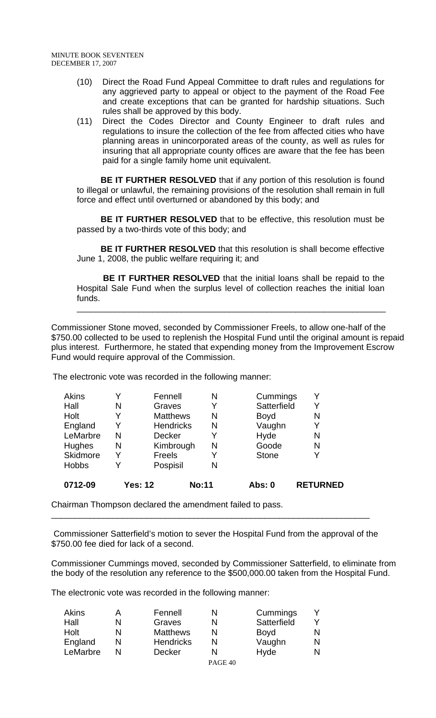- (10) Direct the Road Fund Appeal Committee to draft rules and regulations for any aggrieved party to appeal or object to the payment of the Road Fee and create exceptions that can be granted for hardship situations. Such rules shall be approved by this body.
- (11) Direct the Codes Director and County Engineer to draft rules and regulations to insure the collection of the fee from affected cities who have planning areas in unincorporated areas of the county, as well as rules for insuring that all appropriate county offices are aware that the fee has been paid for a single family home unit equivalent.

**BE IT FURTHER RESOLVED** that if any portion of this resolution is found to illegal or unlawful, the remaining provisions of the resolution shall remain in full force and effect until overturned or abandoned by this body; and

 **BE IT FURTHER RESOLVED** that to be effective, this resolution must be passed by a two-thirds vote of this body; and

 **BE IT FURTHER RESOLVED** that this resolution is shall become effective June 1, 2008, the public welfare requiring it; and

 **BE IT FURTHER RESOLVED** that the initial loans shall be repaid to the Hospital Sale Fund when the surplus level of collection reaches the initial loan funds.

\_\_\_\_\_\_\_\_\_\_\_\_\_\_\_\_\_\_\_\_\_\_\_\_\_\_\_\_\_\_\_\_\_\_\_\_\_\_\_\_\_\_\_\_\_\_\_\_\_\_\_\_\_\_\_\_\_\_\_\_\_\_\_\_\_

Commissioner Stone moved, seconded by Commissioner Freels, to allow one-half of the \$750.00 collected to be used to replenish the Hospital Fund until the original amount is repaid plus interest. Furthermore, he stated that expending money from the Improvement Escrow Fund would require approval of the Commission.

The electronic vote was recorded in the following manner:

| 0712-09      |   | <b>Yes: 12</b>   | <b>No:11</b> | <b>Abs: 0</b> | <b>RETURNED</b> |
|--------------|---|------------------|--------------|---------------|-----------------|
| <b>Hobbs</b> | Y | Pospisil         | N            |               |                 |
| Skidmore     | Y | Freels           | Y            | <b>Stone</b>  |                 |
| Hughes       | N | Kimbrough        | N            | Goode         | N               |
| LeMarbre     | N | <b>Decker</b>    | Y            | Hyde          | N               |
| England      | Y | <b>Hendricks</b> | N            | Vaughn        |                 |
| Holt         | Y | <b>Matthews</b>  | N            | <b>Boyd</b>   | N               |
| Hall         | N | Graves           |              | Satterfield   |                 |
| Akins        |   | Fennell          | N            | Cummings      |                 |

Chairman Thompson declared the amendment failed to pass.

 Commissioner Satterfield's motion to sever the Hospital Fund from the approval of the \$750.00 fee died for lack of a second.

\_\_\_\_\_\_\_\_\_\_\_\_\_\_\_\_\_\_\_\_\_\_\_\_\_\_\_\_\_\_\_\_\_\_\_\_\_\_\_\_\_\_\_\_\_\_\_\_\_\_\_\_\_\_\_\_\_\_\_\_\_\_\_\_\_\_\_

Commissioner Cummings moved, seconded by Commissioner Satterfield, to eliminate from the body of the resolution any reference to the \$500,000.00 taken from the Hospital Fund.

The electronic vote was recorded in the following manner:

| Akins    |   | Fennell          |         | Cummings    |   |
|----------|---|------------------|---------|-------------|---|
| Hall     | N | Graves           |         | Satterfield |   |
| Holt     | N | <b>Matthews</b>  |         | <b>Boyd</b> |   |
| England  |   | <b>Hendricks</b> |         | Vaughn      | N |
| LeMarbre |   | <b>Decker</b>    |         | Hyde        |   |
|          |   |                  | PAGE 40 |             |   |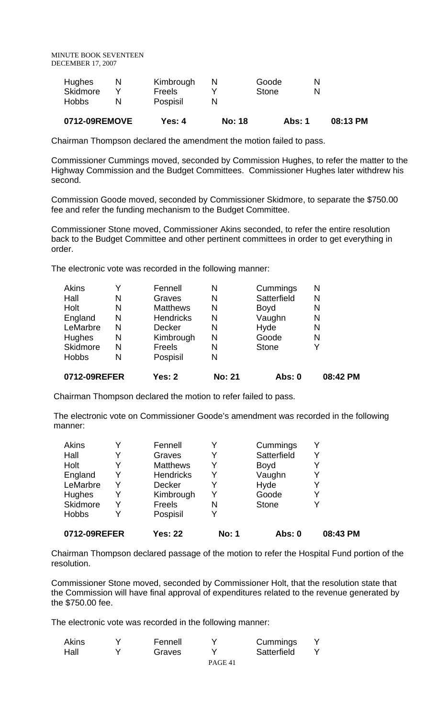| 0712-09REMOVE     | Yes: 4                    | <b>No: 18</b> |              | Abs: 1 | 08:13 PM |
|-------------------|---------------------------|---------------|--------------|--------|----------|
| Skidmore<br>Hobbs | <b>Freels</b><br>Pospisil |               | <b>Stone</b> |        |          |
| Hughes            | Kimbrough                 |               | Goode        |        |          |

Chairman Thompson declared the amendment the motion failed to pass.

Commissioner Cummings moved, seconded by Commission Hughes, to refer the matter to the Highway Commission and the Budget Committees. Commissioner Hughes later withdrew his second.

Commission Goode moved, seconded by Commissioner Skidmore, to separate the \$750.00 fee and refer the funding mechanism to the Budget Committee.

Commissioner Stone moved, Commissioner Akins seconded, to refer the entire resolution back to the Budget Committee and other pertinent committees in order to get everything in order.

The electronic vote was recorded in the following manner:

| <b>Akins</b> |   | Fennell          | N             | Cummings     | N        |
|--------------|---|------------------|---------------|--------------|----------|
| Hall         | N | Graves           | N             | Satterfield  | N        |
| Holt         | N | <b>Matthews</b>  | N             | <b>Boyd</b>  | N        |
| England      | N | <b>Hendricks</b> | N             | Vaughn       | N        |
| LeMarbre     | N | <b>Decker</b>    | N             | Hyde         | N        |
| Hughes       | N | Kimbrough        | N             | Goode        | N        |
| Skidmore     | N | <b>Freels</b>    | N             | <b>Stone</b> | Y        |
| <b>Hobbs</b> | N | Pospisil         | N             |              |          |
| 0712-09REFER |   | <b>Yes: 2</b>    | <b>No: 21</b> | Abs: 0       | 08:42 PM |

Chairman Thompson declared the motion to refer failed to pass.

 The electronic vote on Commissioner Goode's amendment was recorded in the following manner:

| 0712-09REFER |   | <b>Yes: 22</b>   | <b>No: 1</b> | Abs: 0       | 08:43 PM |
|--------------|---|------------------|--------------|--------------|----------|
| <b>Hobbs</b> |   | Pospisil         | Y            |              |          |
| Skidmore     |   | <b>Freels</b>    | N            | <b>Stone</b> | v        |
| Hughes       | Y | Kimbrough        | Y            | Goode        | Y        |
| LeMarbre     | Y | <b>Decker</b>    | Y            | Hyde         | Y        |
| England      |   | <b>Hendricks</b> | Y            | Vaughn       | Y        |
| Holt         |   | <b>Matthews</b>  | Y            | <b>Boyd</b>  |          |
| Hall         |   | Graves           | Y            | Satterfield  | v        |
| Akins        | v | Fennell          |              | Cummings     | Y        |

Chairman Thompson declared passage of the motion to refer the Hospital Fund portion of the resolution.

Commissioner Stone moved, seconded by Commissioner Holt, that the resolution state that the Commission will have final approval of expenditures related to the revenue generated by the \$750.00 fee.

The electronic vote was recorded in the following manner:

| Akins | Fennell |         | Cummings    |  |
|-------|---------|---------|-------------|--|
| Hall  | Graves  |         | Satterfield |  |
|       |         | PAGE 41 |             |  |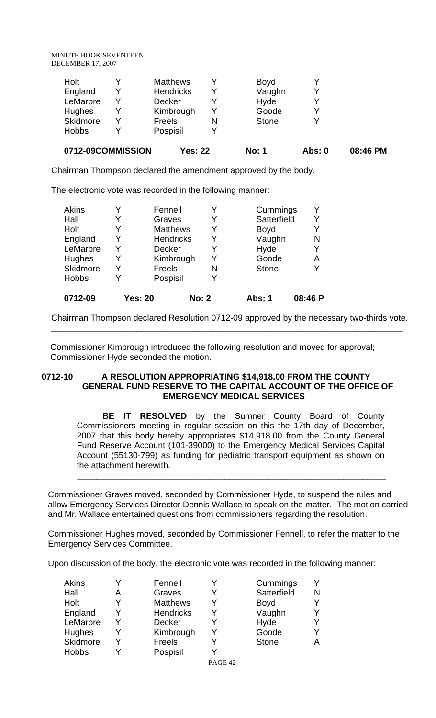|              | 0712-09COMMISSION | <b>Yes: 22</b>   |   | <b>No: 1</b> | Abs: 0 | 08:46 PM |
|--------------|-------------------|------------------|---|--------------|--------|----------|
| <b>Hobbs</b> |                   | Pospisil         |   |              |        |          |
| Skidmore     | Y                 | <b>Freels</b>    | N | <b>Stone</b> | ∨      |          |
| Hughes       | Y                 | Kimbrough        |   | Goode        | v      |          |
| LeMarbre     | Y                 | <b>Decker</b>    |   | Hyde         |        |          |
| England      | Y                 | <b>Hendricks</b> |   | Vaughn       |        |          |
| Holt         | V                 | <b>Matthews</b>  |   | <b>Boyd</b>  |        |          |

Chairman Thompson declared the amendment approved by the body.

The electronic vote was recorded in the following manner:

| <b>Akins</b>    | Fennell          |              | Cummings     | Y       |
|-----------------|------------------|--------------|--------------|---------|
| Hall            | Graves           | Y            | Satterfield  | Y       |
| Holt            | <b>Matthews</b>  | Y            | <b>Boyd</b>  | Y       |
| England         | <b>Hendricks</b> | Y            | Vaughn       | N       |
| LeMarbre        | <b>Decker</b>    | Y            | Hyde         | Y       |
| <b>Hughes</b>   | Kimbrough        | Y            | Goode        | А       |
| <b>Skidmore</b> | Freels           | N            | <b>Stone</b> | Y       |
| <b>Hobbs</b>    | Pospisil         |              |              |         |
| 0712-09         | <b>Yes: 20</b>   | <b>No: 2</b> | Abs: 1       | 08:46 P |

Chairman Thompson declared Resolution 0712-09 approved by the necessary two-thirds vote. \_\_\_\_\_\_\_\_\_\_\_\_\_\_\_\_\_\_\_\_\_\_\_\_\_\_\_\_\_\_\_\_\_\_\_\_\_\_\_\_\_\_\_\_\_\_\_\_\_\_\_\_\_\_\_\_\_\_\_\_\_\_\_\_\_\_\_\_\_\_\_\_\_\_

 Commissioner Kimbrough introduced the following resolution and moved for approval; Commissioner Hyde seconded the motion.

### **0712-10 A RESOLUTION APPROPRIATING \$14,918.00 FROM THE COUNTY GENERAL FUND RESERVE TO THE CAPITAL ACCOUNT OF THE OFFICE OF EMERGENCY MEDICAL SERVICES**

**BE IT RESOLVED** by the Sumner County Board of County Commissioners meeting in regular session on this the 17th day of December, 2007 that this body hereby appropriates \$14,918.00 from the County General Fund Reserve Account (101-39000) to the Emergency Medical Services Capital Account (55130-799) as funding for pediatric transport equipment as shown on the attachment herewith.

Commissioner Graves moved, seconded by Commissioner Hyde, to suspend the rules and allow Emergency Services Director Dennis Wallace to speak on the matter. The motion carried and Mr. Wallace entertained questions from commissioners regarding the resolution.

 $\frac{1}{2}$  ,  $\frac{1}{2}$  ,  $\frac{1}{2}$  ,  $\frac{1}{2}$  ,  $\frac{1}{2}$  ,  $\frac{1}{2}$  ,  $\frac{1}{2}$  ,  $\frac{1}{2}$  ,  $\frac{1}{2}$  ,  $\frac{1}{2}$  ,  $\frac{1}{2}$  ,  $\frac{1}{2}$  ,  $\frac{1}{2}$  ,  $\frac{1}{2}$  ,  $\frac{1}{2}$  ,  $\frac{1}{2}$  ,  $\frac{1}{2}$  ,  $\frac{1}{2}$  ,  $\frac{1$ 

Commissioner Hughes moved, seconded by Commissioner Fennell, to refer the matter to the Emergency Services Committee.

Upon discussion of the body, the electronic vote was recorded in the following manner:

|   | Fennell          | Cummings     |   |
|---|------------------|--------------|---|
| A | Graves           | Satterfield  | N |
| v | <b>Matthews</b>  | <b>Boyd</b>  |   |
|   | <b>Hendricks</b> | Vaughn       |   |
|   | <b>Decker</b>    | Hyde         |   |
|   | Kimbrough        | Goode        |   |
|   | Freels           | <b>Stone</b> |   |
|   | Pospisil         |              |   |
|   |                  |              |   |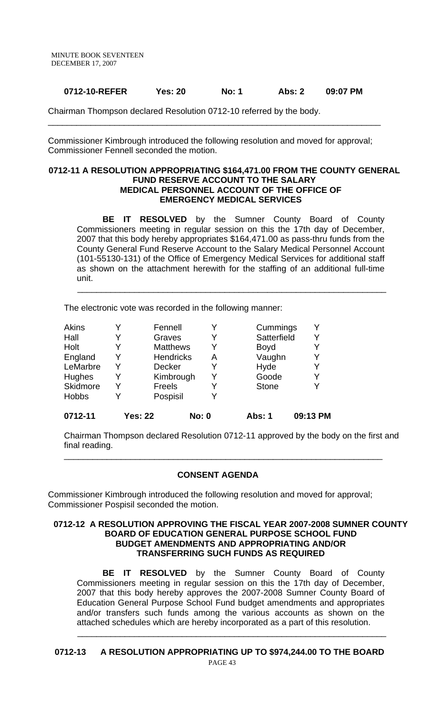### **0712-10-REFER Yes: 20 No: 1 Abs: 2 09:07 PM**

\_\_\_\_\_\_\_\_\_\_\_\_\_\_\_\_\_\_\_\_\_\_\_\_\_\_\_\_\_\_\_\_\_\_\_\_\_\_\_\_\_\_\_\_\_\_\_\_\_\_\_\_\_\_\_\_\_\_\_\_\_\_\_\_\_\_\_\_\_\_

Chairman Thompson declared Resolution 0712-10 referred by the body.

Commissioner Kimbrough introduced the following resolution and moved for approval; Commissioner Fennell seconded the motion.

#### **0712-11 A RESOLUTION APPROPRIATING \$164,471.00 FROM THE COUNTY GENERAL FUND RESERVE ACCOUNT TO THE SALARY MEDICAL PERSONNEL ACCOUNT OF THE OFFICE OF EMERGENCY MEDICAL SERVICES**

**BE IT RESOLVED** by the Sumner County Board of County Commissioners meeting in regular session on this the 17th day of December, 2007 that this body hereby appropriates \$164,471.00 as pass-thru funds from the County General Fund Reserve Account to the Salary Medical Personnel Account (101-55130-131) of the Office of Emergency Medical Services for additional staff as shown on the attachment herewith for the staffing of an additional full-time unit.

 $\frac{1}{2}$  ,  $\frac{1}{2}$  ,  $\frac{1}{2}$  ,  $\frac{1}{2}$  ,  $\frac{1}{2}$  ,  $\frac{1}{2}$  ,  $\frac{1}{2}$  ,  $\frac{1}{2}$  ,  $\frac{1}{2}$  ,  $\frac{1}{2}$  ,  $\frac{1}{2}$  ,  $\frac{1}{2}$  ,  $\frac{1}{2}$  ,  $\frac{1}{2}$  ,  $\frac{1}{2}$  ,  $\frac{1}{2}$  ,  $\frac{1}{2}$  ,  $\frac{1}{2}$  ,  $\frac{1$ 

The electronic vote was recorded in the following manner:

| Akins        | Fennell          | Y            | Cummings     |          |
|--------------|------------------|--------------|--------------|----------|
| Hall         | Graves           | Y            | Satterfield  | Y        |
| Holt         | <b>Matthews</b>  | Y            | <b>Boyd</b>  |          |
| England      | <b>Hendricks</b> | Α            | Vaughn       |          |
| LeMarbre     | <b>Decker</b>    | Y            | Hyde         |          |
| Hughes       | Kimbrough        | Y            | Goode        | Y        |
| Skidmore     | Freels           | Y            | <b>Stone</b> |          |
| <b>Hobbs</b> | Pospisil         | v            |              |          |
| 0712-11      | <b>Yes: 22</b>   | <b>No: 0</b> | Abs: 1       | 09:13 PM |

Chairman Thompson declared Resolution 0712-11 approved by the body on the first and final reading.

\_\_\_\_\_\_\_\_\_\_\_\_\_\_\_\_\_\_\_\_\_\_\_\_\_\_\_\_\_\_\_\_\_\_\_\_\_\_\_\_\_\_\_\_\_\_\_\_\_\_\_\_\_\_\_\_\_\_\_\_\_\_\_\_\_\_\_

#### **CONSENT AGENDA**

Commissioner Kimbrough introduced the following resolution and moved for approval; Commissioner Pospisil seconded the motion.

#### **0712-12 A RESOLUTION APPROVING THE FISCAL YEAR 2007-2008 SUMNER COUNTY BOARD OF EDUCATION GENERAL PURPOSE SCHOOL FUND BUDGET AMENDMENTS AND APPROPRIATING AND/OR TRANSFERRING SUCH FUNDS AS REQUIRED**

 **BE IT RESOLVED** by the Sumner County Board of County Commissioners meeting in regular session on this the 17th day of December, 2007 that this body hereby approves the 2007-2008 Sumner County Board of Education General Purpose School Fund budget amendments and appropriates and/or transfers such funds among the various accounts as shown on the attached schedules which are hereby incorporated as a part of this resolution.

**0712-13 A RESOLUTION APPROPRIATING UP TO \$974,244.00 TO THE BOARD** 

 $\frac{1}{2}$  ,  $\frac{1}{2}$  ,  $\frac{1}{2}$  ,  $\frac{1}{2}$  ,  $\frac{1}{2}$  ,  $\frac{1}{2}$  ,  $\frac{1}{2}$  ,  $\frac{1}{2}$  ,  $\frac{1}{2}$  ,  $\frac{1}{2}$  ,  $\frac{1}{2}$  ,  $\frac{1}{2}$  ,  $\frac{1}{2}$  ,  $\frac{1}{2}$  ,  $\frac{1}{2}$  ,  $\frac{1}{2}$  ,  $\frac{1}{2}$  ,  $\frac{1}{2}$  ,  $\frac{1$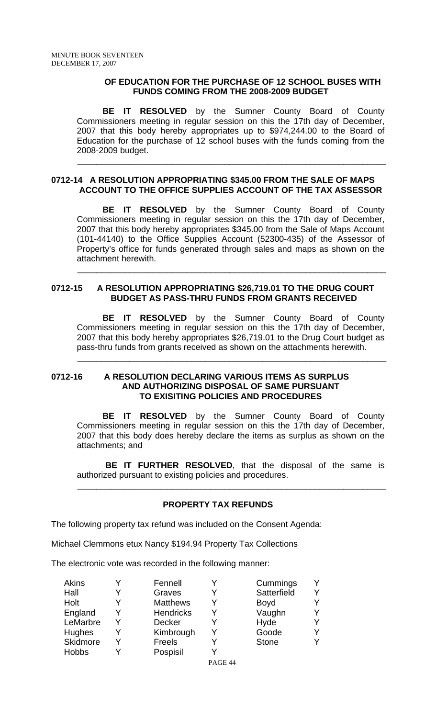#### **OF EDUCATION FOR THE PURCHASE OF 12 SCHOOL BUSES WITH FUNDS COMING FROM THE 2008-2009 BUDGET**

**BE IT RESOLVED** by the Sumner County Board of County Commissioners meeting in regular session on this the 17th day of December, 2007 that this body hereby appropriates up to \$974,244.00 to the Board of Education for the purchase of 12 school buses with the funds coming from the 2008-2009 budget.

#### **0712-14 A RESOLUTION APPROPRIATING \$345.00 FROM THE SALE OF MAPS ACCOUNT TO THE OFFICE SUPPLIES ACCOUNT OF THE TAX ASSESSOR**

 $\frac{1}{2}$  ,  $\frac{1}{2}$  ,  $\frac{1}{2}$  ,  $\frac{1}{2}$  ,  $\frac{1}{2}$  ,  $\frac{1}{2}$  ,  $\frac{1}{2}$  ,  $\frac{1}{2}$  ,  $\frac{1}{2}$  ,  $\frac{1}{2}$  ,  $\frac{1}{2}$  ,  $\frac{1}{2}$  ,  $\frac{1}{2}$  ,  $\frac{1}{2}$  ,  $\frac{1}{2}$  ,  $\frac{1}{2}$  ,  $\frac{1}{2}$  ,  $\frac{1}{2}$  ,  $\frac{1$ 

**BE IT RESOLVED** by the Sumner County Board of County Commissioners meeting in regular session on this the 17th day of December, 2007 that this body hereby appropriates \$345.00 from the Sale of Maps Account (101-44140) to the Office Supplies Account (52300-435) of the Assessor of Property's office for funds generated through sales and maps as shown on the attachment herewith.

# **0712-15 A RESOLUTION APPROPRIATING \$26,719.01 TO THE DRUG COURT BUDGET AS PASS-THRU FUNDS FROM GRANTS RECEIVED**

 $\overline{\phantom{a}}$  ,  $\overline{\phantom{a}}$  ,  $\overline{\phantom{a}}$  ,  $\overline{\phantom{a}}$  ,  $\overline{\phantom{a}}$  ,  $\overline{\phantom{a}}$  ,  $\overline{\phantom{a}}$  ,  $\overline{\phantom{a}}$  ,  $\overline{\phantom{a}}$  ,  $\overline{\phantom{a}}$  ,  $\overline{\phantom{a}}$  ,  $\overline{\phantom{a}}$  ,  $\overline{\phantom{a}}$  ,  $\overline{\phantom{a}}$  ,  $\overline{\phantom{a}}$  ,  $\overline{\phantom{a}}$ 

**BE IT RESOLVED** by the Sumner County Board of County Commissioners meeting in regular session on this the 17th day of December, 2007 that this body hereby appropriates \$26,719.01 to the Drug Court budget as pass-thru funds from grants received as shown on the attachments herewith.

 $\overline{\phantom{a}}$  ,  $\overline{\phantom{a}}$  ,  $\overline{\phantom{a}}$  ,  $\overline{\phantom{a}}$  ,  $\overline{\phantom{a}}$  ,  $\overline{\phantom{a}}$  ,  $\overline{\phantom{a}}$  ,  $\overline{\phantom{a}}$  ,  $\overline{\phantom{a}}$  ,  $\overline{\phantom{a}}$  ,  $\overline{\phantom{a}}$  ,  $\overline{\phantom{a}}$  ,  $\overline{\phantom{a}}$  ,  $\overline{\phantom{a}}$  ,  $\overline{\phantom{a}}$  ,  $\overline{\phantom{a}}$ 

# **0712-16 A RESOLUTION DECLARING VARIOUS ITEMS AS SURPLUS AND AUTHORIZING DISPOSAL OF SAME PURSUANT TO EXISITING POLICIES AND PROCEDURES**

 **BE IT RESOLVED** by the Sumner County Board of County Commissioners meeting in regular session on this the 17th day of December, 2007 that this body does hereby declare the items as surplus as shown on the attachments; and

 **BE IT FURTHER RESOLVED**, that the disposal of the same is authorized pursuant to existing policies and procedures.

# **PROPERTY TAX REFUNDS**

 $\frac{1}{2}$  ,  $\frac{1}{2}$  ,  $\frac{1}{2}$  ,  $\frac{1}{2}$  ,  $\frac{1}{2}$  ,  $\frac{1}{2}$  ,  $\frac{1}{2}$  ,  $\frac{1}{2}$  ,  $\frac{1}{2}$  ,  $\frac{1}{2}$  ,  $\frac{1}{2}$  ,  $\frac{1}{2}$  ,  $\frac{1}{2}$  ,  $\frac{1}{2}$  ,  $\frac{1}{2}$  ,  $\frac{1}{2}$  ,  $\frac{1}{2}$  ,  $\frac{1}{2}$  ,  $\frac{1$ 

The following property tax refund was included on the Consent Agenda:

Michael Clemmons etux Nancy \$194.94 Property Tax Collections

The electronic vote was recorded in the following manner:

| Akins         |   | Fennell          | Cummings     |  |
|---------------|---|------------------|--------------|--|
| Hall          |   | Graves           | Satterfield  |  |
| Holt          | v | <b>Matthews</b>  | <b>Boyd</b>  |  |
| England       |   | <b>Hendricks</b> | Vaughn       |  |
| LeMarbre      |   | <b>Decker</b>    | Hyde         |  |
| <b>Hughes</b> |   | Kimbrough        | Goode        |  |
| Skidmore      |   | Freels           | <b>Stone</b> |  |
| <b>Hobbs</b>  |   | Pospisil         |              |  |

PAGE 44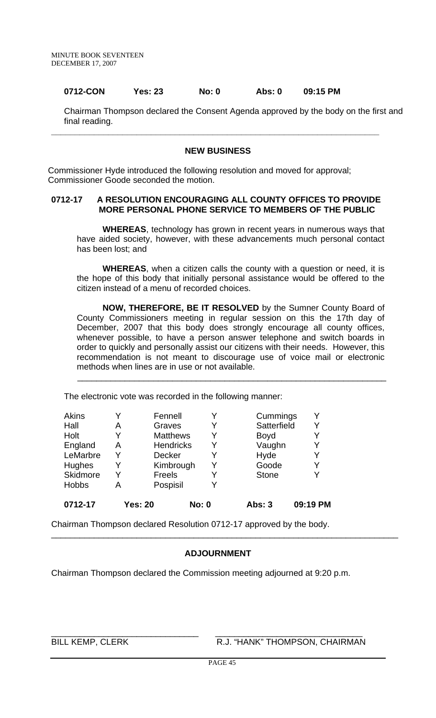#### **0712-CON Yes: 23 No: 0 Abs: 0 09:15 PM**

Chairman Thompson declared the Consent Agenda approved by the body on the first and final reading.

#### **NEW BUSINESS**

**\_\_\_\_\_\_\_\_\_\_\_\_\_\_\_\_\_\_\_\_\_\_\_\_\_\_\_\_\_\_\_\_\_\_\_\_\_\_\_\_\_\_\_\_\_\_\_\_\_\_\_\_\_\_\_\_\_\_\_\_\_\_\_\_\_\_\_\_\_** 

Commissioner Hyde introduced the following resolution and moved for approval; Commissioner Goode seconded the motion.

#### **0712-17 A RESOLUTION ENCOURAGING ALL COUNTY OFFICES TO PROVIDE MORE PERSONAL PHONE SERVICE TO MEMBERS OF THE PUBLIC**

**WHEREAS**, technology has grown in recent years in numerous ways that have aided society, however, with these advancements much personal contact has been lost; and

**WHEREAS**, when a citizen calls the county with a question or need, it is the hope of this body that initially personal assistance would be offered to the citizen instead of a menu of recorded choices.

**NOW, THEREFORE, BE IT RESOLVED** by the Sumner County Board of County Commissioners meeting in regular session on this the 17th day of December, 2007 that this body does strongly encourage all county offices, whenever possible, to have a person answer telephone and switch boards in order to quickly and personally assist our citizens with their needs. However, this recommendation is not meant to discourage use of voice mail or electronic methods when lines are in use or not available.

 $\frac{1}{2}$  ,  $\frac{1}{2}$  ,  $\frac{1}{2}$  ,  $\frac{1}{2}$  ,  $\frac{1}{2}$  ,  $\frac{1}{2}$  ,  $\frac{1}{2}$  ,  $\frac{1}{2}$  ,  $\frac{1}{2}$  ,  $\frac{1}{2}$  ,  $\frac{1}{2}$  ,  $\frac{1}{2}$  ,  $\frac{1}{2}$  ,  $\frac{1}{2}$  ,  $\frac{1}{2}$  ,  $\frac{1}{2}$  ,  $\frac{1}{2}$  ,  $\frac{1}{2}$  ,  $\frac{1$ 

The electronic vote was recorded in the following manner:

| <b>Akins</b><br>Hall<br>Holt<br>England<br>LeMarbre<br>Hughes | Α<br>Y<br>Α<br>Y<br>Y | Fennell<br>Graves<br><b>Matthews</b><br><b>Hendricks</b><br><b>Decker</b><br>Kimbrough |              | Y<br>Y<br>Y<br>Y<br>Y | Cummings<br>Satterfield<br><b>Boyd</b><br>Vaughn<br>Hyde<br>Goode | Y<br>Y<br>Y<br>Y<br>Y<br>Y |
|---------------------------------------------------------------|-----------------------|----------------------------------------------------------------------------------------|--------------|-----------------------|-------------------------------------------------------------------|----------------------------|
| Skidmore<br><b>Hobbs</b>                                      | Y<br>А                | Freels<br>Pospisil                                                                     |              | v                     | <b>Stone</b>                                                      | Y                          |
| 0712-17                                                       | <b>Yes: 20</b>        |                                                                                        | <b>No: 0</b> |                       | <b>Abs: 3</b>                                                     | 09:19 PM                   |

Chairman Thompson declared Resolution 0712-17 approved by the body.

#### **ADJOURNMENT**

\_\_\_\_\_\_\_\_\_\_\_\_\_\_\_\_\_\_\_\_\_\_\_\_\_\_\_\_\_\_\_\_\_\_\_\_\_\_\_\_\_\_\_\_\_\_\_\_\_\_\_\_\_\_\_\_\_\_\_\_\_\_\_\_\_\_\_\_\_\_\_\_\_

Chairman Thompson declared the Commission meeting adjourned at 9:20 p.m.

\_\_\_\_\_\_\_\_\_\_\_\_\_\_\_\_\_\_\_\_\_\_\_\_\_\_\_\_\_\_\_ \_\_\_\_\_\_\_\_\_\_\_\_\_\_\_\_\_\_\_\_\_\_\_\_\_\_\_\_\_\_\_

BILL KEMP, CLERK R.J. "HANK" THOMPSON, CHAIRMAN